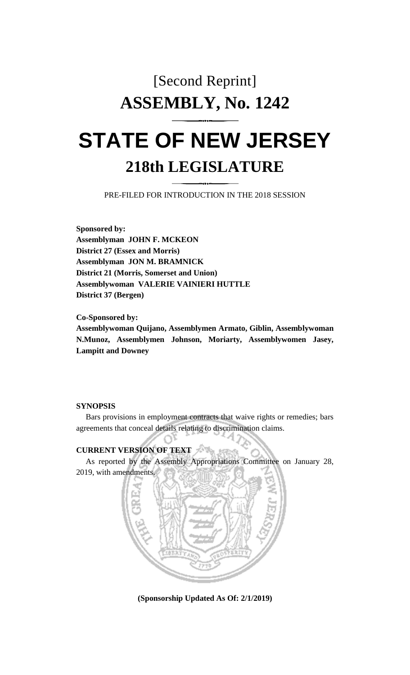# [Second Reprint] **ASSEMBLY, No. 1242**

## **STATE OF NEW JERSEY 218th LEGISLATURE**

PRE-FILED FOR INTRODUCTION IN THE 2018 SESSION

**Sponsored by: Assemblyman JOHN F. MCKEON District 27 (Essex and Morris) Assemblyman JON M. BRAMNICK District 21 (Morris, Somerset and Union) Assemblywoman VALERIE VAINIERI HUTTLE District 37 (Bergen)**

**Co-Sponsored by: Assemblywoman Quijano, Assemblymen Armato, Giblin, Assemblywoman N.Munoz, Assemblymen Johnson, Moriarty, Assemblywomen Jasey, Lampitt and Downey**

### **SYNOPSIS**

Bars provisions in employment contracts that waive rights or remedies; bars agreements that conceal details relating to discrimination claims.

#### **CURRENT VERSION OF TEXT**

As reported by the Assembly Appropriations Committee on January 28, 2019, with amendments.



**(Sponsorship Updated As Of: 2/1/2019)**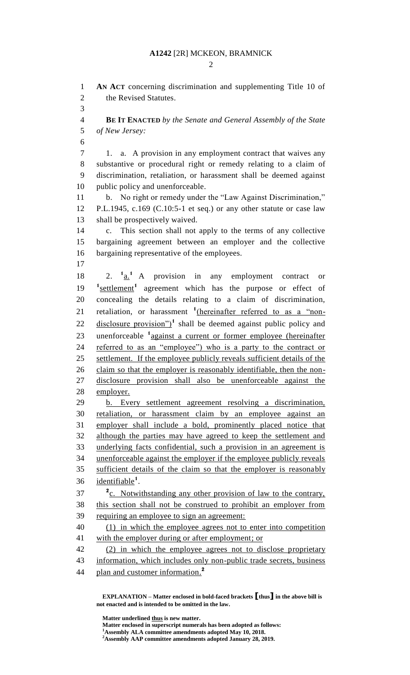#### **A1242** [2R] MCKEON, BRAMNICK

 $\mathcal{D}_{\mathcal{L}}$ 

 **AN ACT** concerning discrimination and supplementing Title 10 of the Revised Statutes. 

 **BE IT ENACTED** *by the Senate and General Assembly of the State of New Jersey:*

7 1. a. A provision in any employment contract that waives any substantive or procedural right or remedy relating to a claim of discrimination, retaliation, or harassment shall be deemed against public policy and unenforceable.

 b. No right or remedy under the "Law Against Discrimination," P.L.1945, c.169 (C.10:5-1 et seq.) or any other statute or case law shall be prospectively waived.

 c. This section shall not apply to the terms of any collective bargaining agreement between an employer and the collective bargaining representative of the employees.

 $2. \frac{1}{a}$  A provision in any employment contract or 19 <sup>1</sup> settlement<sup>1</sup> agreement which has the purpose or effect of concealing the details relating to a claim of discrimination, 21 retaliation, or harassment <sup>1</sup>(hereinafter referred to as a "non- disclosure provision")<sup>1</sup> shall be deemed against public policy and 23 unenforceable <sup>1</sup> against a current or former employee (hereinafter referred to as an "employee") who is a party to the contract or settlement. If the employee publicly reveals sufficient details of the claim so that the employer is reasonably identifiable, then the non- disclosure provision shall also be unenforceable against the employer.

 b. Every settlement agreement resolving a discrimination, retaliation, or harassment claim by an employee against an employer shall include a bold, prominently placed notice that although the parties may have agreed to keep the settlement and underlying facts confidential, such a provision in an agreement is unenforceable against the employer if the employee publicly reveals sufficient details of the claim so that the employer is reasonably 36 <u>identifiable</u><sup>1</sup>.

<sup>2</sup><sub>C.</sub> Notwithstanding any other provision of law to the contrary, this section shall not be construed to prohibit an employer from requiring an employee to sign an agreement:

 (1) in which the employee agrees not to enter into competition 41 with the employer during or after employment; or

 (2) in which the employee agrees not to disclose proprietary 43 information, which includes only non-public trade secrets, business plan and customer information. **2** 

**EXPLANATION – Matter enclosed in bold-faced brackets [thus] in the above bill is not enacted and is intended to be omitted in the law.**

**Matter underlined thus is new matter.**

**Matter enclosed in superscript numerals has been adopted as follows:**

**Assembly ALA committee amendments adopted May 10, 2018.**

**Assembly AAP committee amendments adopted January 28, 2019.**